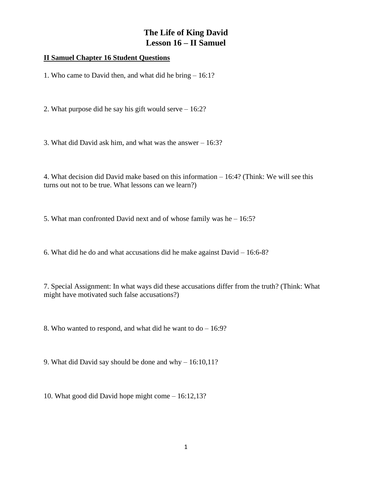## **The Life of King David Lesson 16 – II Samuel**

## **II Samuel Chapter 16 Student Questions**

1. Who came to David then, and what did he bring – 16:1?

2. What purpose did he say his gift would serve – 16:2?

3. What did David ask him, and what was the answer – 16:3?

4. What decision did David make based on this information – 16:4? (Think: We will see this turns out not to be true. What lessons can we learn?)

5. What man confronted David next and of whose family was he – 16:5?

6. What did he do and what accusations did he make against David – 16:6-8?

7. Special Assignment: In what ways did these accusations differ from the truth? (Think: What might have motivated such false accusations?)

8. Who wanted to respond, and what did he want to do – 16:9?

9. What did David say should be done and why – 16:10,11?

10. What good did David hope might come – 16:12,13?